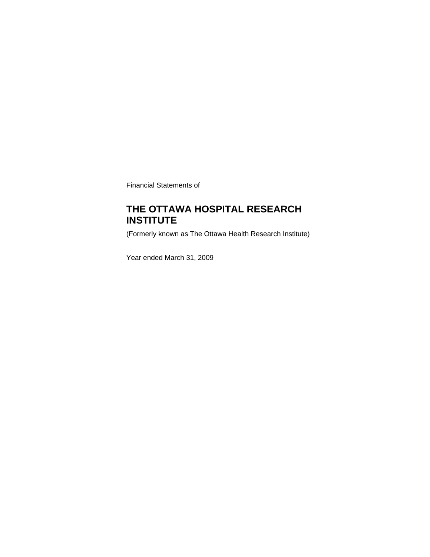Financial Statements of

# **THE OTTAWA HOSPITAL RESEARCH INSTITUTE**

(Formerly known as The Ottawa Health Research Institute)

Year ended March 31, 2009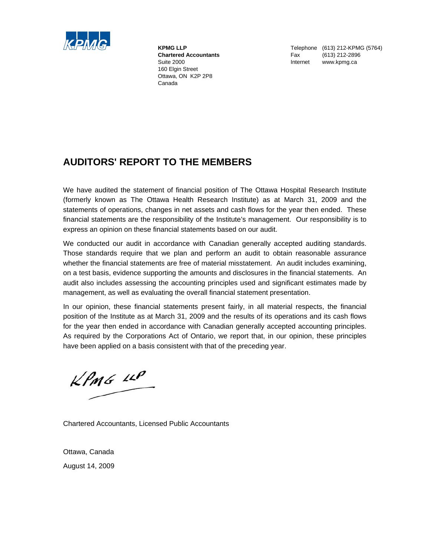

 160 Elgin Street Ottawa, ON K2P 2P8 Canada

**KPMG LLP** Telephone (613) 212-KPMG (5764)  **Chartered Accountants** Fax (613) 212-2896 Suite 2000 **Internet www.kpmg.ca** 

# **AUDITORS' REPORT TO THE MEMBERS**

We have audited the statement of financial position of The Ottawa Hospital Research Institute (formerly known as The Ottawa Health Research Institute) as at March 31, 2009 and the statements of operations, changes in net assets and cash flows for the year then ended. These financial statements are the responsibility of the Institute's management. Our responsibility is to express an opinion on these financial statements based on our audit.

We conducted our audit in accordance with Canadian generally accepted auditing standards. Those standards require that we plan and perform an audit to obtain reasonable assurance whether the financial statements are free of material misstatement. An audit includes examining, on a test basis, evidence supporting the amounts and disclosures in the financial statements. An audit also includes assessing the accounting principles used and significant estimates made by management, as well as evaluating the overall financial statement presentation.

In our opinion, these financial statements present fairly, in all material respects, the financial position of the Institute as at March 31, 2009 and the results of its operations and its cash flows for the year then ended in accordance with Canadian generally accepted accounting principles. As required by the Corporations Act of Ontario, we report that, in our opinion, these principles have been applied on a basis consistent with that of the preceding year.

 $KPMG$  14P

Chartered Accountants, Licensed Public Accountants

Ottawa, Canada August 14, 2009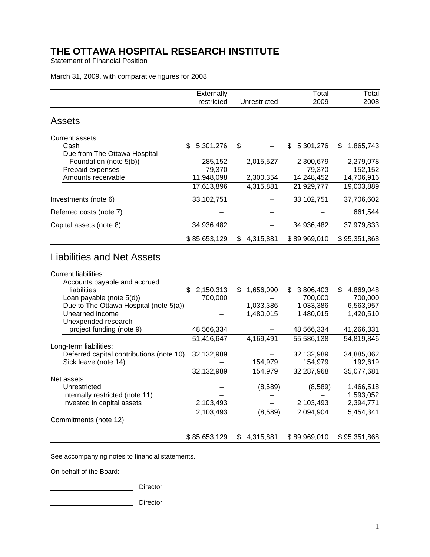Statement of Financial Position

March 31, 2009, with comparative figures for 2008

|                                                             | Externally      |                |              | Total          | Total                  |
|-------------------------------------------------------------|-----------------|----------------|--------------|----------------|------------------------|
|                                                             | restricted      |                | Unrestricted | 2009           | 2008                   |
| <b>Assets</b>                                               |                 |                |              |                |                        |
| Current assets:                                             |                 |                |              |                |                        |
| Cash                                                        | 5,301,276<br>\$ | \$             |              | 5,301,276<br>S | 1,865,743<br>S         |
| Due from The Ottawa Hospital                                |                 |                |              |                |                        |
| Foundation (note 5(b))                                      | 285,152         |                | 2,015,527    | 2,300,679      | 2,279,078              |
| Prepaid expenses                                            | 79,370          |                |              | 79,370         | 152,152                |
| Amounts receivable                                          | 11,948,098      |                | 2,300,354    | 14,248,452     | 14,706,916             |
|                                                             | 17,613,896      |                | 4,315,881    | 21,929,777     | 19,003,889             |
| Investments (note 6)                                        | 33,102,751      |                |              | 33,102,751     | 37,706,602             |
| Deferred costs (note 7)                                     |                 |                |              |                | 661,544                |
| Capital assets (note 8)                                     | 34,936,482      |                |              | 34,936,482     | 37,979,833             |
|                                                             | \$85,653,129    | $\mathbb{S}^-$ | 4,315,881    | \$89,969,010   | \$95,351,868           |
| <b>Current liabilities:</b><br>Accounts payable and accrued |                 |                |              |                |                        |
| liabilities                                                 | 2,150,313<br>\$ | \$             | 1,656,090    | 3,806,403<br>S | 4,869,048<br>S         |
| Loan payable (note 5(d))                                    | 700,000         |                |              | 700,000        | 700,000                |
| Due to The Ottawa Hospital (note 5(a))                      |                 |                | 1,033,386    | 1,033,386      | 6,563,957              |
| Unearned income                                             |                 |                | 1,480,015    | 1,480,015      | 1,420,510              |
| Unexpended research                                         |                 |                |              |                |                        |
| project funding (note 9)                                    | 48,566,334      |                |              | 48,566,334     | 41,266,331             |
|                                                             | 51,416,647      |                | 4,169,491    | 55,586,138     | 54,819,846             |
| Long-term liabilities:                                      |                 |                |              |                |                        |
| Deferred capital contributions (note 10)                    | 32,132,989      |                |              | 32,132,989     | 34,885,062             |
| Sick leave (note 14)                                        |                 |                | 154,979      | 154,979        | 192,619                |
|                                                             | 32,132,989      |                | 154,979      | 32,287,968     | 35,077,681             |
| Net assets:                                                 |                 |                |              |                |                        |
| Unrestricted<br>Internally restricted (note 11)             |                 |                | (8,589)      | (8,589)        | 1,466,518<br>1,593,052 |
| Invested in capital assets                                  | 2,103,493       |                |              | 2,103,493      | 2,394,771              |
|                                                             | 2,103,493       |                | (8, 589)     | 2,094,904      | 5,454,341              |
| Commitments (note 12)                                       |                 |                |              |                |                        |
|                                                             | \$85,653,129    | $\mathfrak{S}$ | 4,315,881    | \$89,969,010   | \$95,351,868           |

See accompanying notes to financial statements.

On behalf of the Board:

Director

Director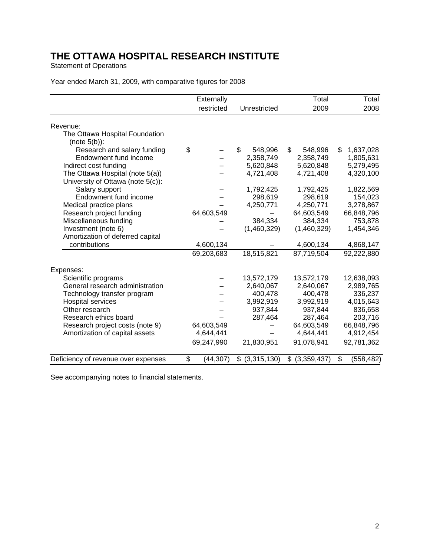Statement of Operations

|                                     | Externally      |                   | Total             | Total            |
|-------------------------------------|-----------------|-------------------|-------------------|------------------|
|                                     | restricted      | Unrestricted      | 2009              | 2008             |
| Revenue:                            |                 |                   |                   |                  |
| The Ottawa Hospital Foundation      |                 |                   |                   |                  |
| $(note 5(b))$ :                     |                 |                   |                   |                  |
| Research and salary funding         | \$              | \$<br>548,996     | \$<br>548,996     | \$<br>1,637,028  |
| Endowment fund income               |                 | 2,358,749         | 2,358,749         | 1,805,631        |
| Indirect cost funding               |                 | 5,620,848         | 5,620,848         | 5,279,495        |
| The Ottawa Hospital (note 5(a))     |                 | 4,721,408         | 4,721,408         | 4,320,100        |
| University of Ottawa (note 5(c)):   |                 |                   |                   |                  |
| Salary support                      |                 | 1,792,425         | 1,792,425         | 1,822,569        |
| Endowment fund income               |                 | 298,619           | 298,619           | 154,023          |
| Medical practice plans              |                 | 4,250,771         | 4,250,771         | 3,278,867        |
| Research project funding            | 64,603,549      |                   | 64,603,549        | 66,848,796       |
| Miscellaneous funding               |                 | 384,334           | 384,334           | 753,878          |
| Investment (note 6)                 |                 | (1,460,329)       | (1,460,329)       | 1,454,346        |
| Amortization of deferred capital    |                 |                   |                   |                  |
| contributions                       | 4,600,134       |                   | 4,600,134         | 4,868,147        |
|                                     | 69,203,683      | 18,515,821        | 87,719,504        | 92,222,880       |
| Expenses:                           |                 |                   |                   |                  |
| Scientific programs                 |                 | 13,572,179        | 13,572,179        | 12,638,093       |
| General research administration     |                 | 2,640,067         | 2,640,067         | 2,989,765        |
| Technology transfer program         |                 | 400,478           | 400,478           | 336,237          |
| <b>Hospital services</b>            |                 | 3,992,919         | 3,992,919         | 4,015,643        |
| Other research                      |                 | 937,844           | 937,844           | 836,658          |
| Research ethics board               |                 | 287,464           | 287,464           | 203,716          |
| Research project costs (note 9)     | 64,603,549      |                   | 64,603,549        | 66,848,796       |
| Amortization of capital assets      | 4,644,441       |                   | 4,644,441         | 4,912,454        |
|                                     | 69,247,990      | 21,830,951        | 91,078,941        | 92,781,362       |
| Deficiency of revenue over expenses | \$<br>(44, 307) | $$$ $(3,315,130)$ | \$<br>(3,359,437) | \$<br>(558, 482) |

## Year ended March 31, 2009, with comparative figures for 2008

See accompanying notes to financial statements.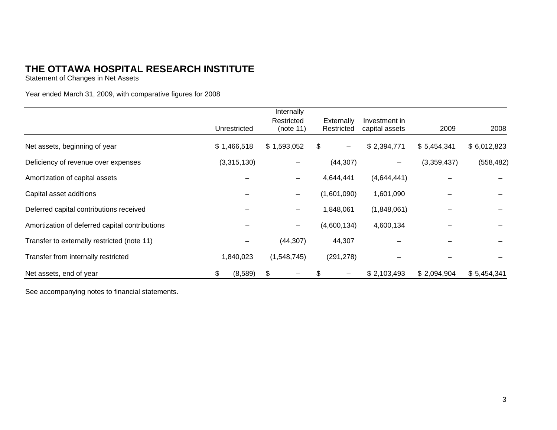Statement of Changes in Net Assets

Year ended March 31, 2009, with comparative figures for 2008

|                                                |               | Internally  |                         |                |             |             |
|------------------------------------------------|---------------|-------------|-------------------------|----------------|-------------|-------------|
|                                                |               | Restricted  | Externally              | Investment in  |             |             |
|                                                | Unrestricted  | (note 11)   | Restricted              | capital assets | 2009        | 2008        |
| Net assets, beginning of year                  | \$1,466,518   | \$1,593,052 | \$<br>$\qquad \qquad -$ | \$2,394,771    | \$5,454,341 | \$6,012,823 |
| Deficiency of revenue over expenses            | (3,315,130)   |             | (44, 307)               |                | (3,359,437) | (558, 482)  |
| Amortization of capital assets                 |               | -           | 4,644,441               | (4,644,441)    |             |             |
| Capital asset additions                        |               | -           | (1,601,090)             | 1,601,090      |             |             |
| Deferred capital contributions received        |               | —           | 1,848,061               | (1,848,061)    |             |             |
| Amortization of deferred capital contributions |               | —           | (4,600,134)             | 4,600,134      |             |             |
| Transfer to externally restricted (note 11)    |               | (44, 307)   | 44,307                  |                |             |             |
| Transfer from internally restricted            | 1,840,023     | (1,548,745) | (291, 278)              |                |             |             |
| Net assets, end of year                        | \$<br>(8,589) | \$          |                         | \$2,103,493    | \$2,094,904 | \$5,454,341 |

See accompanying notes to financial statements.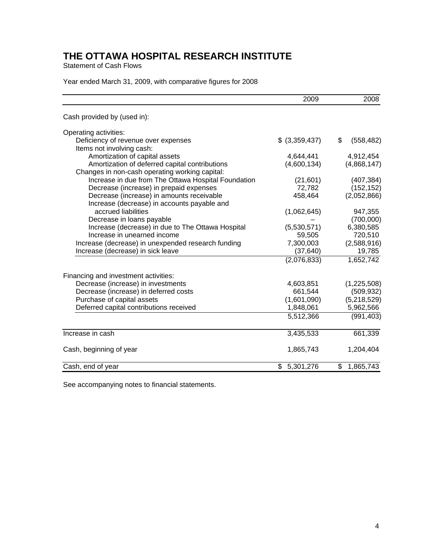Statement of Cash Flows

|  |  | Year ended March 31, 2009, with comparative figures for 2008 |
|--|--|--------------------------------------------------------------|
|--|--|--------------------------------------------------------------|

|                                                                  | 2009            | 2008             |
|------------------------------------------------------------------|-----------------|------------------|
| Cash provided by (used in):                                      |                 |                  |
| Operating activities:                                            |                 |                  |
| Deficiency of revenue over expenses<br>Items not involving cash: | \$ (3,359,437)  | \$<br>(558, 482) |
| Amortization of capital assets                                   | 4,644,441       | 4,912,454        |
| Amortization of deferred capital contributions                   | (4,600,134)     | (4,868,147)      |
| Changes in non-cash operating working capital:                   |                 |                  |
| Increase in due from The Ottawa Hospital Foundation              | (21, 601)       | (407, 384)       |
| Decrease (increase) in prepaid expenses                          | 72,782          | (152, 152)       |
| Decrease (increase) in amounts receivable                        | 458,464         | (2,052,866)      |
| Increase (decrease) in accounts payable and                      |                 |                  |
| accrued liabilities                                              | (1,062,645)     | 947,355          |
| Decrease in loans payable                                        |                 | (700,000)        |
| Increase (decrease) in due to The Ottawa Hospital                | (5,530,571)     | 6,380,585        |
| Increase in unearned income                                      | 59,505          | 720,510          |
| Increase (decrease) in unexpended research funding               | 7,300,003       | (2,588,916)      |
| Increase (decrease) in sick leave                                | (37, 640)       | 19,785           |
|                                                                  | (2,076,833)     | 1,652,742        |
| Financing and investment activities:                             |                 |                  |
| Decrease (increase) in investments                               | 4,603,851       | (1,225,508)      |
| Decrease (increase) in deferred costs                            | 661,544         | (509, 932)       |
| Purchase of capital assets                                       | (1,601,090)     | (5,218,529)      |
| Deferred capital contributions received                          | 1,848,061       | 5,962,566        |
|                                                                  | 5,512,366       | (991, 403)       |
| Increase in cash                                                 | 3,435,533       | 661,339          |
| Cash, beginning of year                                          | 1,865,743       | 1,204,404        |
| Cash, end of year                                                | \$<br>5,301,276 | \$<br>1,865,743  |

See accompanying notes to financial statements.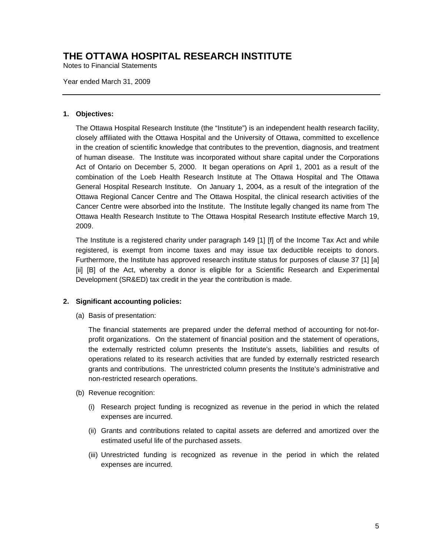Notes to Financial Statements

Year ended March 31, 2009

### **1. Objectives:**

The Ottawa Hospital Research Institute (the "Institute") is an independent health research facility, closely affiliated with the Ottawa Hospital and the University of Ottawa, committed to excellence in the creation of scientific knowledge that contributes to the prevention, diagnosis, and treatment of human disease. The Institute was incorporated without share capital under the Corporations Act of Ontario on December 5, 2000. It began operations on April 1, 2001 as a result of the combination of the Loeb Health Research Institute at The Ottawa Hospital and The Ottawa General Hospital Research Institute. On January 1, 2004, as a result of the integration of the Ottawa Regional Cancer Centre and The Ottawa Hospital, the clinical research activities of the Cancer Centre were absorbed into the Institute. The Institute legally changed its name from The Ottawa Health Research Institute to The Ottawa Hospital Research Institute effective March 19, 2009.

The Institute is a registered charity under paragraph 149 [1] [f] of the Income Tax Act and while registered, is exempt from income taxes and may issue tax deductible receipts to donors. Furthermore, the Institute has approved research institute status for purposes of clause 37 [1] [a] [ii] [B] of the Act, whereby a donor is eligible for a Scientific Research and Experimental Development (SR&ED) tax credit in the year the contribution is made.

### **2. Significant accounting policies:**

(a) Basis of presentation:

The financial statements are prepared under the deferral method of accounting for not-forprofit organizations. On the statement of financial position and the statement of operations, the externally restricted column presents the Institute's assets, liabilities and results of operations related to its research activities that are funded by externally restricted research grants and contributions. The unrestricted column presents the Institute's administrative and non-restricted research operations.

- (b) Revenue recognition:
	- (i) Research project funding is recognized as revenue in the period in which the related expenses are incurred.
	- (ii) Grants and contributions related to capital assets are deferred and amortized over the estimated useful life of the purchased assets.
	- (iii) Unrestricted funding is recognized as revenue in the period in which the related expenses are incurred.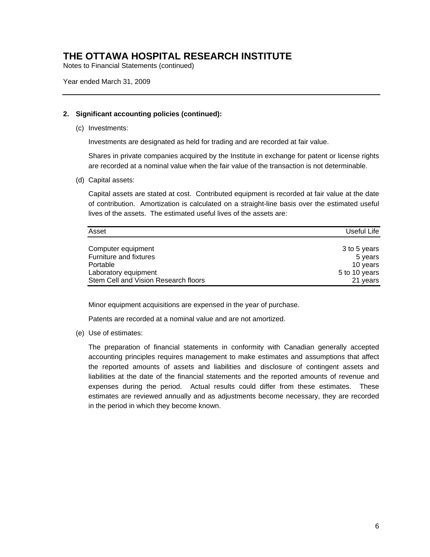Notes to Financial Statements (continued)

Year ended March 31, 2009

### **2. Significant accounting policies (continued):**

(c) Investments:

Investments are designated as held for trading and are recorded at fair value.

Shares in private companies acquired by the Institute in exchange for patent or license rights are recorded at a nominal value when the fair value of the transaction is not determinable.

(d) Capital assets:

Capital assets are stated at cost. Contributed equipment is recorded at fair value at the date of contribution. Amortization is calculated on a straight-line basis over the estimated useful lives of the assets. The estimated useful lives of the assets are:

| Asset                                | Useful Life   |
|--------------------------------------|---------------|
|                                      |               |
| Computer equipment                   | 3 to 5 years  |
| Furniture and fixtures               | 5 years       |
| Portable                             | 10 years      |
| Laboratory equipment                 | 5 to 10 years |
| Stem Cell and Vision Research floors | 21 years      |

Minor equipment acquisitions are expensed in the year of purchase.

Patents are recorded at a nominal value and are not amortized.

(e) Use of estimates:

The preparation of financial statements in conformity with Canadian generally accepted accounting principles requires management to make estimates and assumptions that affect the reported amounts of assets and liabilities and disclosure of contingent assets and liabilities at the date of the financial statements and the reported amounts of revenue and expenses during the period. Actual results could differ from these estimates. These estimates are reviewed annually and as adjustments become necessary, they are recorded in the period in which they become known.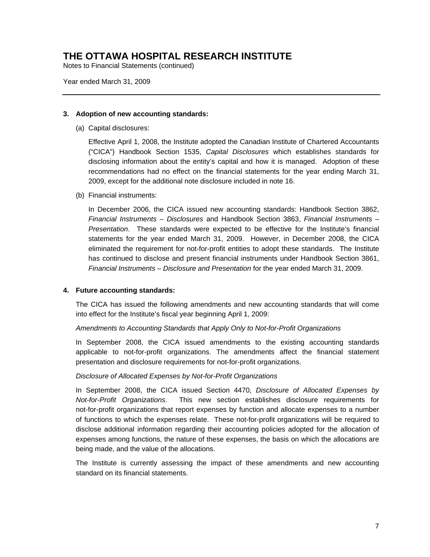Notes to Financial Statements (continued)

Year ended March 31, 2009

#### **3. Adoption of new accounting standards:**

(a) Capital disclosures:

Effective April 1, 2008, the Institute adopted the Canadian Institute of Chartered Accountants ("CICA") Handbook Section 1535, *Capital Disclosures* which establishes standards for disclosing information about the entity's capital and how it is managed. Adoption of these recommendations had no effect on the financial statements for the year ending March 31, 2009, except for the additional note disclosure included in note 16.

(b) Financial instruments:

In December 2006, the CICA issued new accounting standards: Handbook Section 3862, *Financial Instruments – Disclosures* and Handbook Section 3863, *Financial Instruments – Presentation*. These standards were expected to be effective for the Institute's financial statements for the year ended March 31, 2009. However, in December 2008, the CICA eliminated the requirement for not-for-profit entities to adopt these standards. The Institute has continued to disclose and present financial instruments under Handbook Section 3861, *Financial Instruments – Disclosure and Presentation* for the year ended March 31, 2009.

#### **4. Future accounting standards:**

The CICA has issued the following amendments and new accounting standards that will come into effect for the Institute's fiscal year beginning April 1, 2009:

#### *Amendments to Accounting Standards that Apply Only to Not-for-Profit Organizations*

In September 2008, the CICA issued amendments to the existing accounting standards applicable to not-for-profit organizations. The amendments affect the financial statement presentation and disclosure requirements for not-for-profit organizations.

#### *Disclosure of Allocated Expenses by Not-for-Profit Organizations*

In September 2008, the CICA issued Section 4470, *Disclosure of Allocated Expenses by Not-for-Profit Organizations*. This new section establishes disclosure requirements for not-for-profit organizations that report expenses by function and allocate expenses to a number of functions to which the expenses relate. These not-for-profit organizations will be required to disclose additional information regarding their accounting policies adopted for the allocation of expenses among functions, the nature of these expenses, the basis on which the allocations are being made, and the value of the allocations.

The Institute is currently assessing the impact of these amendments and new accounting standard on its financial statements.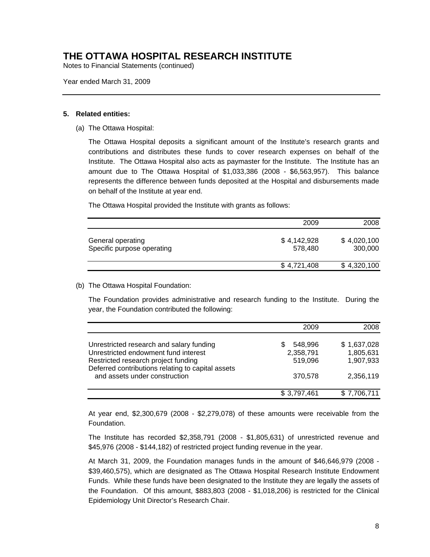Notes to Financial Statements (continued)

Year ended March 31, 2009

#### **5. Related entities:**

(a) The Ottawa Hospital:

The Ottawa Hospital deposits a significant amount of the Institute's research grants and contributions and distributes these funds to cover research expenses on behalf of the Institute. The Ottawa Hospital also acts as paymaster for the Institute. The Institute has an amount due to The Ottawa Hospital of \$1,033,386 (2008 - \$6,563,957). This balance represents the difference between funds deposited at the Hospital and disbursements made on behalf of the Institute at year end.

The Ottawa Hospital provided the Institute with grants as follows:

|                                                 | 2009                   | 2008                   |
|-------------------------------------------------|------------------------|------------------------|
| General operating<br>Specific purpose operating | \$4,142,928<br>578.480 | \$4,020,100<br>300,000 |
|                                                 | \$4,721,408            | \$4,320,100            |

#### (b) The Ottawa Hospital Foundation:

The Foundation provides administrative and research funding to the Institute. During the year, the Foundation contributed the following:

|                                                                                    | 2009         | 2008        |
|------------------------------------------------------------------------------------|--------------|-------------|
| Unrestricted research and salary funding                                           | 548,996<br>S | \$1,637,028 |
| Unrestricted endowment fund interest                                               | 2,358,791    | 1,805,631   |
| Restricted research project funding                                                | 519,096      | 1,907,933   |
| Deferred contributions relating to capital assets<br>and assets under construction | 370,578      | 2,356,119   |
|                                                                                    | \$3,797,461  | \$7,706,711 |

At year end, \$2,300,679 (2008 - \$2,279,078) of these amounts were receivable from the Foundation.

The Institute has recorded \$2,358,791 (2008 - \$1,805,631) of unrestricted revenue and \$45,976 (2008 - \$144,182) of restricted project funding revenue in the year.

At March 31, 2009, the Foundation manages funds in the amount of \$46,646,979 (2008 - \$39,460,575), which are designated as The Ottawa Hospital Research Institute Endowment Funds. While these funds have been designated to the Institute they are legally the assets of the Foundation. Of this amount, \$883,803 (2008 - \$1,018,206) is restricted for the Clinical Epidemiology Unit Director's Research Chair.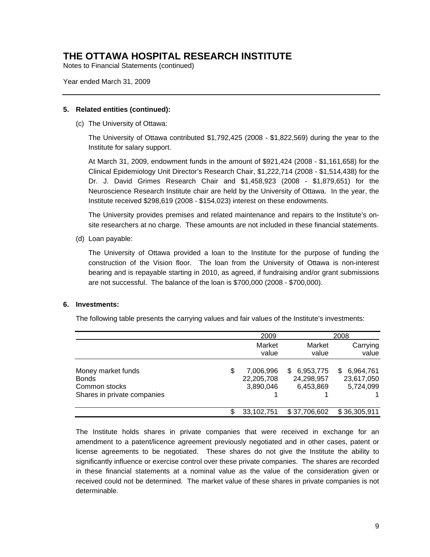Notes to Financial Statements (continued)

Year ended March 31, 2009

#### **5. Related entities (continued):**

(c) The University of Ottawa:

The University of Ottawa contributed \$1,792,425 (2008 - \$1,822,569) during the year to the Institute for salary support.

At March 31, 2009, endowment funds in the amount of \$921,424 (2008 - \$1,161,658) for the Clinical Epidemiology Unit Director's Research Chair, \$1,222,714 (2008 - \$1,514,438) for the Dr. J. David Grimes Research Chair and \$1,458,923 (2008 - \$1,879,651) for the Neuroscience Research Institute chair are held by the University of Ottawa. In the year, the Institute received \$298,619 (2008 - \$154,023) interest on these endowments.

The University provides premises and related maintenance and repairs to the Institute's onsite researchers at no charge. These amounts are not included in these financial statements.

(d) Loan payable:

The University of Ottawa provided a loan to the Institute for the purpose of funding the construction of the Vision floor. The loan from the University of Ottawa is non-interest bearing and is repayable starting in 2010, as agreed, if fundraising and/or grant submissions are not successful. The balance of the loan is \$700,000 (2008 - \$700,000).

#### **6. Investments:**

The following table presents the carrying values and fair values of the Institute's investments:

|                                                                                    | 2009                                       |                                           | 2008                                       |
|------------------------------------------------------------------------------------|--------------------------------------------|-------------------------------------------|--------------------------------------------|
|                                                                                    | Market<br>value                            | Market<br>value                           | Carrying<br>value                          |
| Money market funds<br><b>Bonds</b><br>Common stocks<br>Shares in private companies | \$<br>7,006,996<br>22,205,708<br>3,890,046 | 6,953,775<br>S<br>24,298,957<br>6,453,869 | 6,964,761<br>S.<br>23,617,050<br>5,724,099 |
|                                                                                    | \$<br>33,102,751                           | \$37,706,602                              | \$36,305,911                               |

The Institute holds shares in private companies that were received in exchange for an amendment to a patent/licence agreement previously negotiated and in other cases, patent or license agreements to be negotiated. These shares do not give the Institute the ability to significantly influence or exercise control over these private companies. The shares are recorded in these financial statements at a nominal value as the value of the consideration given or received could not be determined. The market value of these shares in private companies is not determinable.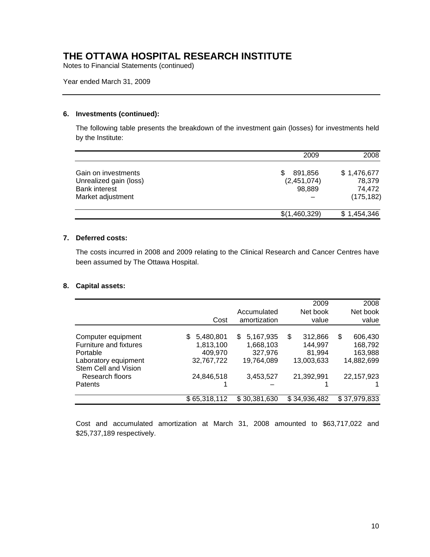Notes to Financial Statements (continued)

Year ended March 31, 2009

### **6. Investments (continued):**

The following table presents the breakdown of the investment gain (losses) for investments held by the Institute:

|                                                                                            | 2009                                  | 2008                                          |
|--------------------------------------------------------------------------------------------|---------------------------------------|-----------------------------------------------|
| Gain on investments<br>Unrealized gain (loss)<br><b>Bank interest</b><br>Market adjustment | 891,856<br>S<br>(2,451,074)<br>98,889 | \$1,476,677<br>78,379<br>74,472<br>(175, 182) |
|                                                                                            | \$(1,460,329)                         | \$1,454,346                                   |

#### **7. Deferred costs:**

The costs incurred in 2008 and 2009 relating to the Clinical Research and Cancer Centres have been assumed by The Ottawa Hospital.

### **8. Capital assets:**

|                        |                  |                             | 2009              | 2008              |
|------------------------|------------------|-----------------------------|-------------------|-------------------|
|                        | Cost             | Accumulated<br>amortization | Net book<br>value | Net book<br>value |
|                        |                  |                             |                   |                   |
| Computer equipment     | 5,480,801<br>\$. | 5,167,935<br>\$.            | \$<br>312,866     | 606,430<br>\$     |
| Furniture and fixtures | 1,813,100        | 1,668,103                   | 144,997           | 168,792           |
| Portable               | 409,970          | 327,976                     | 81,994            | 163,988           |
| Laboratory equipment   | 32,767,722       | 19,764,089                  | 13,003,633        | 14,882,699        |
| Stem Cell and Vision   |                  |                             |                   |                   |
| Research floors        | 24,846,518       | 3,453,527                   | 21,392,991        | 22, 157, 923      |
| Patents                |                  |                             |                   |                   |
|                        | \$65,318,112     | \$30,381,630                | \$34,936,482      | \$37,979,833      |

Cost and accumulated amortization at March 31, 2008 amounted to \$63,717,022 and \$25,737,189 respectively.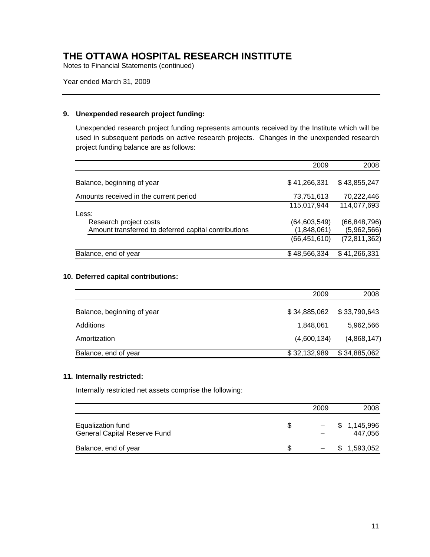Notes to Financial Statements (continued)

Year ended March 31, 2009

### **9. Unexpended research project funding:**

Unexpended research project funding represents amounts received by the Institute which will be used in subsequent periods on active research projects. Changes in the unexpended research project funding balance are as follows:

|                                                      | 2009           | 2008           |
|------------------------------------------------------|----------------|----------------|
| Balance, beginning of year                           | \$41,266,331   | \$43,855,247   |
| Amounts received in the current period               | 73,751,613     | 70,222,446     |
|                                                      | 115,017,944    | 114,077,693    |
| Less:                                                |                |                |
| Research project costs                               | (64, 603, 549) | (66, 848, 796) |
| Amount transferred to deferred capital contributions | (1,848,061)    | (5,962,566)    |
|                                                      | (66, 451, 610) | (72, 811, 362) |
| Balance, end of year                                 | \$48,566,334   | \$41,266,331   |

### **10. Deferred capital contributions:**

|                            | 2009         | 2008         |
|----------------------------|--------------|--------------|
| Balance, beginning of year | \$34,885,062 | \$33,790,643 |
| Additions                  | 1,848,061    | 5,962,566    |
| Amortization               | (4,600,134)  | (4,868,147)  |
| Balance, end of year       | \$32,132,989 | \$34,885,062 |

#### **11. Internally restricted:**

Internally restricted net assets comprise the following:

|                                                          | 2009              | 2008                   |
|----------------------------------------------------------|-------------------|------------------------|
| Equalization fund<br><b>General Capital Reserve Fund</b> | $\qquad \qquad -$ | \$1,145,996<br>447.056 |
| Balance, end of year                                     |                   | \$1,593,052            |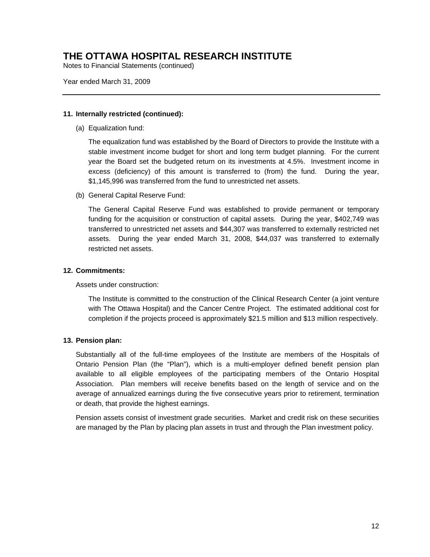Notes to Financial Statements (continued)

Year ended March 31, 2009

#### **11. Internally restricted (continued):**

(a) Equalization fund:

The equalization fund was established by the Board of Directors to provide the Institute with a stable investment income budget for short and long term budget planning. For the current year the Board set the budgeted return on its investments at 4.5%. Investment income in excess (deficiency) of this amount is transferred to (from) the fund. During the year, \$1,145,996 was transferred from the fund to unrestricted net assets.

(b) General Capital Reserve Fund:

The General Capital Reserve Fund was established to provide permanent or temporary funding for the acquisition or construction of capital assets. During the year, \$402,749 was transferred to unrestricted net assets and \$44,307 was transferred to externally restricted net assets. During the year ended March 31, 2008, \$44,037 was transferred to externally restricted net assets.

#### **12. Commitments:**

Assets under construction:

The Institute is committed to the construction of the Clinical Research Center (a joint venture with The Ottawa Hospital) and the Cancer Centre Project. The estimated additional cost for completion if the projects proceed is approximately \$21.5 million and \$13 million respectively.

#### **13. Pension plan:**

Substantially all of the full-time employees of the Institute are members of the Hospitals of Ontario Pension Plan (the "Plan"), which is a multi-employer defined benefit pension plan available to all eligible employees of the participating members of the Ontario Hospital Association. Plan members will receive benefits based on the length of service and on the average of annualized earnings during the five consecutive years prior to retirement, termination or death, that provide the highest earnings.

Pension assets consist of investment grade securities. Market and credit risk on these securities are managed by the Plan by placing plan assets in trust and through the Plan investment policy.